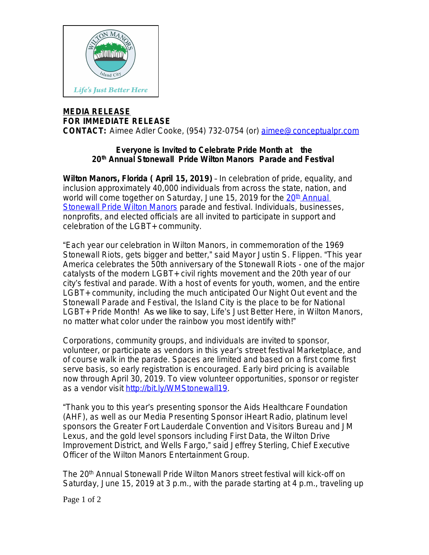

## **MEDIA RELEASE FOR IMMEDIATE RELEASE**

**CONTACT:** Aimee Adler Cooke, (954) 732-0754 (or) [aimee@conceptualpr.com](mailto:aimee@conceptualpr.com)

## **Everyone is Invited to Celebrate Pride Month at the 20th Annual Stonewall Pride Wilton Manors Parade and Festival**

**Wilton Manors, Florida ( April 15, 2019)** – In celebration of pride, equality, and inclusion approximately 40,000 individuals from across the state, nation, and world will come together on Saturday, June 15, [20](http://bit.ly/WMStonewall19)19 for [th](http://bit.ly/WMStonewall19)e 20<sup>th</sup> Annual [Stonewall Pride Wilton Manors](http://bit.ly/WMStonewall19) parade and festival. Individuals, businesses, nonprofits, and elected officials are all invited to participate in support and celebration of the LGBT+ community.

"Each year our celebration in Wilton Manors, in commemoration of the 1969 Stonewall Riots, gets bigger and better," said Mayor Justin S. Flippen. "This year America celebrates the 50th anniversary of the Stonewall Riots - one of the major catalysts of the modern LGBT+ civil rights movement and the 20th year of our city's festival and parade. With a host of events for youth, women, and the entire LGBT+ community, including the much anticipated Our Night Out event and the Stonewall Parade and Festival, the Island City is the place to be for National LGBT+ Pride Month! As we like to say, *Life*'*s Just Better Here*, in Wilton Manors, no matter what color under the rainbow you most identify with!"

Corporations, community groups, and individuals are invited to sponsor, volunteer, or participate as vendors in this year's street festival Marketplace, and of course walk in the parade. Spaces are limited and based on a first come first serve basis, so early registration is encouraged. Early bird pricing is available now through April 30, 2019. To view volunteer opportunities, sponsor or register as a vendor visit [http://bit.ly/WMStonewall19.](http://bit.ly/WMStonewall19)

"Thank you to this year's presenting sponsor the Aids Healthcare Foundation (AHF), as well as our Media Presenting Sponsor iHeart Radio, platinum level sponsors the Greater Fort Lauderdale Convention and Visitors Bureau and JM Lexus, and the gold level sponsors including First Data, the Wilton Drive Improvement District, and Wells Fargo," said Jeffrey Sterling, Chief Executive Officer of the Wilton Manors Entertainment Group.

The 20<sup>th</sup> Annual Stonewall Pride Wilton Manors street festival will kick-off on Saturday, June 15, 2019 at 3 p.m., with the parade starting at 4 p.m., traveling up

Page 1 of 2